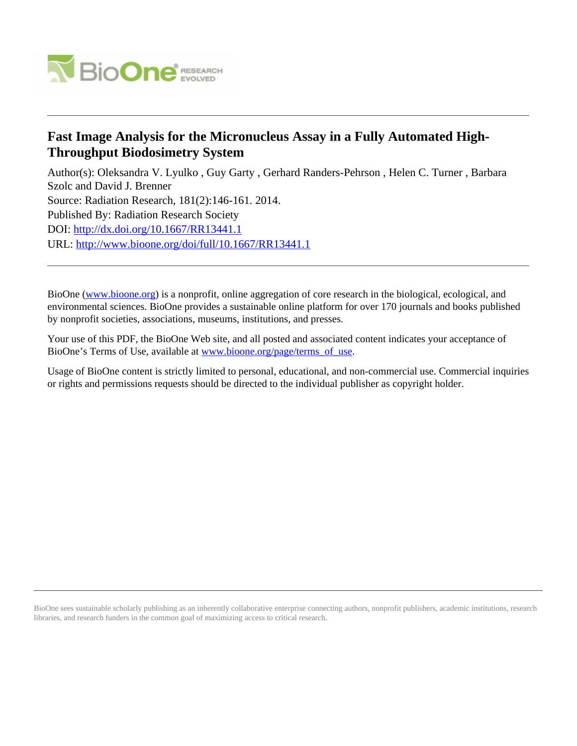

# **Fast Image Analysis for the Micronucleus Assay in a Fully Automated High-Throughput Biodosimetry System**

Author(s): Oleksandra V. Lyulko , Guy Garty , Gerhard Randers-Pehrson , Helen C. Turner , Barbara Szolc and David J. Brenner Source: Radiation Research, 181(2):146-161. 2014. Published By: Radiation Research Society DOI:<http://dx.doi.org/10.1667/RR13441.1> URL: <http://www.bioone.org/doi/full/10.1667/RR13441.1>

BioOne [\(www.bioone.org\)](http://www.bioone.org) is a nonprofit, online aggregation of core research in the biological, ecological, and environmental sciences. BioOne provides a sustainable online platform for over 170 journals and books published by nonprofit societies, associations, museums, institutions, and presses.

Your use of this PDF, the BioOne Web site, and all posted and associated content indicates your acceptance of BioOne's Terms of Use, available at [www.bioone.org/page/terms\\_of\\_use.](http://www.bioone.org/page/terms_of_use)

Usage of BioOne content is strictly limited to personal, educational, and non-commercial use. Commercial inquiries or rights and permissions requests should be directed to the individual publisher as copyright holder.

BioOne sees sustainable scholarly publishing as an inherently collaborative enterprise connecting authors, nonprofit publishers, academic institutions, research libraries, and research funders in the common goal of maximizing access to critical research.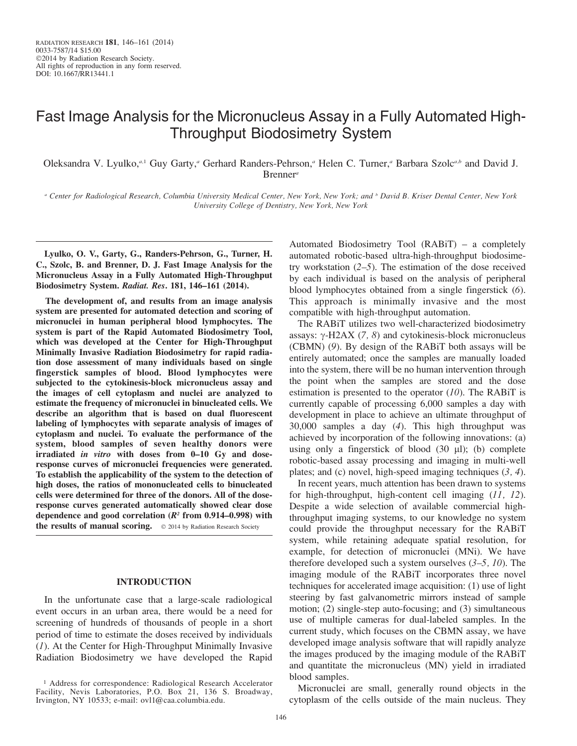# Fast Image Analysis for the Micronucleus Assay in a Fully Automated High-Throughput Biodosimetry System

Oleksandra V. Lyulko,<sup>a,1</sup> Guy Garty,<sup>a</sup> Gerhard Randers-Pehrson,<sup>a</sup> Helen C. Turner,<sup>a</sup> Barbara Szolc<sup>a,b</sup> and David J.  $B$ renner<sup>a</sup>

<sup>a</sup> Center for Radiological Research, Columbia University Medical Center, New York, New York; and <sup>b</sup> David B. Kriser Dental Center, New York University College of Dentistry, New York, New York

Lyulko, O. V., Garty, G., Randers-Pehrson, G., Turner, H. C., Szolc, B. and Brenner, D. J. Fast Image Analysis for the Micronucleus Assay in a Fully Automated High-Throughput Biodosimetry System. Radiat. Res. 181, 146–161 (2014).

The development of, and results from an image analysis system are presented for automated detection and scoring of micronuclei in human peripheral blood lymphocytes. The system is part of the Rapid Automated Biodosimetry Tool, which was developed at the Center for High-Throughput Minimally Invasive Radiation Biodosimetry for rapid radiation dose assessment of many individuals based on single fingerstick samples of blood. Blood lymphocytes were subjected to the cytokinesis-block micronucleus assay and the images of cell cytoplasm and nuclei are analyzed to estimate the frequency of micronuclei in binucleated cells. We describe an algorithm that is based on dual fluorescent labeling of lymphocytes with separate analysis of images of cytoplasm and nuclei. To evaluate the performance of the system, blood samples of seven healthy donors were irradiated in vitro with doses from 0–10 Gy and doseresponse curves of micronuclei frequencies were generated. To establish the applicability of the system to the detection of high doses, the ratios of mononucleated cells to binucleated cells were determined for three of the donors. All of the doseresponse curves generated automatically showed clear dose dependence and good correlation  $(R^2 \text{ from } 0.914-0.998)$  with the results of manual scoring.  $\circ$  2014 by Radiation Research Society

## INTRODUCTION

In the unfortunate case that a large-scale radiological event occurs in an urban area, there would be a need for screening of hundreds of thousands of people in a short period of time to estimate the doses received by individuals (1). At the Center for High-Throughput Minimally Invasive Radiation Biodosimetry we have developed the Rapid

Automated Biodosimetry Tool (RABiT) – a completely automated robotic-based ultra-high-throughput biodosimetry workstation  $(2-5)$ . The estimation of the dose received by each individual is based on the analysis of peripheral blood lymphocytes obtained from a single fingerstick (6). This approach is minimally invasive and the most compatible with high-throughput automation.

The RABiT utilizes two well-characterized biodosimetry assays:  $\gamma$ -H2AX (7, 8) and cytokinesis-block micronucleus (CBMN) (9). By design of the RABiT both assays will be entirely automated; once the samples are manually loaded into the system, there will be no human intervention through the point when the samples are stored and the dose estimation is presented to the operator  $(10)$ . The RABiT is currently capable of processing 6,000 samples a day with development in place to achieve an ultimate throughput of 30,000 samples a day (4). This high throughput was achieved by incorporation of the following innovations: (a) using only a fingerstick of blood  $(30 \mu l)$ ; (b) complete robotic-based assay processing and imaging in multi-well plates; and (c) novel, high-speed imaging techniques  $(3, 4)$ .

In recent years, much attention has been drawn to systems for high-throughput, high-content cell imaging  $(11, 12)$ . Despite a wide selection of available commercial highthroughput imaging systems, to our knowledge no system could provide the throughput necessary for the RABiT system, while retaining adequate spatial resolution, for example, for detection of micronuclei (MNi). We have therefore developed such a system ourselves  $(3-5, 10)$ . The imaging module of the RABiT incorporates three novel techniques for accelerated image acquisition: (1) use of light steering by fast galvanometric mirrors instead of sample motion; (2) single-step auto-focusing; and (3) simultaneous use of multiple cameras for dual-labeled samples. In the current study, which focuses on the CBMN assay, we have developed image analysis software that will rapidly analyze the images produced by the imaging module of the RABiT and quantitate the micronucleus (MN) yield in irradiated blood samples.

Micronuclei are small, generally round objects in the cytoplasm of the cells outside of the main nucleus. They

<sup>1</sup> Address for correspondence: Radiological Research Accelerator Facility, Nevis Laboratories, P.O. Box 21, 136 S. Broadway, Irvington, NY 10533; e-mail: ovl1@caa.columbia.edu.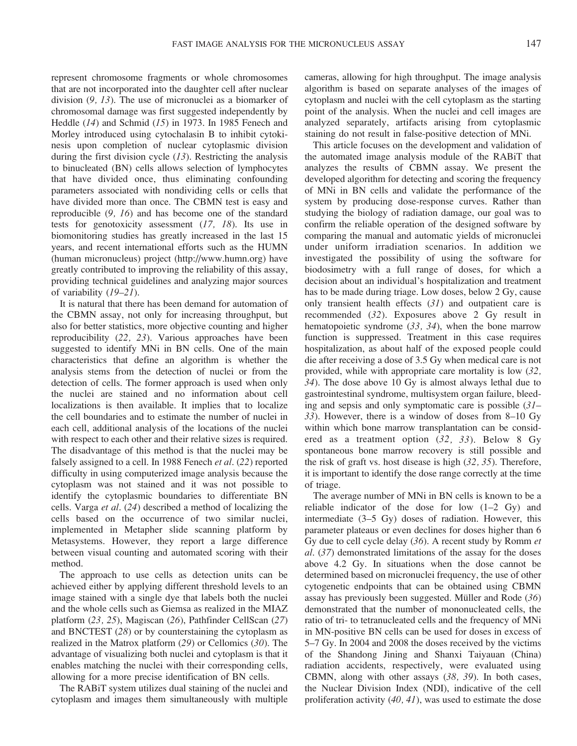represent chromosome fragments or whole chromosomes that are not incorporated into the daughter cell after nuclear division (9, 13). The use of micronuclei as a biomarker of chromosomal damage was first suggested independently by Heddle (14) and Schmid (15) in 1973. In 1985 Fenech and Morley introduced using cytochalasin B to inhibit cytokinesis upon completion of nuclear cytoplasmic division during the first division cycle  $(13)$ . Restricting the analysis to binucleated (BN) cells allows selection of lymphocytes that have divided once, thus eliminating confounding parameters associated with nondividing cells or cells that have divided more than once. The CBMN test is easy and reproducible (9, 16) and has become one of the standard tests for genotoxicity assessment (17, 18). Its use in biomonitoring studies has greatly increased in the last 15 years, and recent international efforts such as the HUMN (human micronucleus) project (http://www.humn.org) have greatly contributed to improving the reliability of this assay, providing technical guidelines and analyzing major sources of variability (19–21).

It is natural that there has been demand for automation of the CBMN assay, not only for increasing throughput, but also for better statistics, more objective counting and higher reproducibility (22, 23). Various approaches have been suggested to identify MNi in BN cells. One of the main characteristics that define an algorithm is whether the analysis stems from the detection of nuclei or from the detection of cells. The former approach is used when only the nuclei are stained and no information about cell localizations is then available. It implies that to localize the cell boundaries and to estimate the number of nuclei in each cell, additional analysis of the locations of the nuclei with respect to each other and their relative sizes is required. The disadvantage of this method is that the nuclei may be falsely assigned to a cell. In 1988 Fenech et al. (22) reported difficulty in using computerized image analysis because the cytoplasm was not stained and it was not possible to identify the cytoplasmic boundaries to differentiate BN cells. Varga et al. (24) described a method of localizing the cells based on the occurrence of two similar nuclei, implemented in Metapher slide scanning platform by Metasystems. However, they report a large difference between visual counting and automated scoring with their method.

The approach to use cells as detection units can be achieved either by applying different threshold levels to an image stained with a single dye that labels both the nuclei and the whole cells such as Giemsa as realized in the MIAZ platform (23, 25), Magiscan (26), Pathfinder CellScan (27) and BNCTEST (28) or by counterstaining the cytoplasm as realized in the Matrox platform (29) or Cellomics (30). The advantage of visualizing both nuclei and cytoplasm is that it enables matching the nuclei with their corresponding cells, allowing for a more precise identification of BN cells.

The RABiT system utilizes dual staining of the nuclei and cytoplasm and images them simultaneously with multiple cameras, allowing for high throughput. The image analysis algorithm is based on separate analyses of the images of cytoplasm and nuclei with the cell cytoplasm as the starting point of the analysis. When the nuclei and cell images are analyzed separately, artifacts arising from cytoplasmic staining do not result in false-positive detection of MNi.

This article focuses on the development and validation of the automated image analysis module of the RABiT that analyzes the results of CBMN assay. We present the developed algorithm for detecting and scoring the frequency of MNi in BN cells and validate the performance of the system by producing dose-response curves. Rather than studying the biology of radiation damage, our goal was to confirm the reliable operation of the designed software by comparing the manual and automatic yields of micronuclei under uniform irradiation scenarios. In addition we investigated the possibility of using the software for biodosimetry with a full range of doses, for which a decision about an individual's hospitalization and treatment has to be made during triage. Low doses, below 2 Gy, cause only transient health effects (31) and outpatient care is recommended (32). Exposures above 2 Gy result in hematopoietic syndrome  $(33, 34)$ , when the bone marrow function is suppressed. Treatment in this case requires hospitalization, as about half of the exposed people could die after receiving a dose of 3.5 Gy when medical care is not provided, while with appropriate care mortality is low (32, 34). The dose above 10 Gy is almost always lethal due to gastrointestinal syndrome, multisystem organ failure, bleeding and sepsis and only symptomatic care is possible  $(31-$ 33). However, there is a window of doses from 8–10 Gy within which bone marrow transplantation can be considered as a treatment option (32, 33). Below 8 Gy spontaneous bone marrow recovery is still possible and the risk of graft vs. host disease is high (32, 35). Therefore, it is important to identify the dose range correctly at the time of triage.

The average number of MNi in BN cells is known to be a reliable indicator of the dose for low  $(1-2 \text{ Gy})$  and intermediate (3–5 Gy) doses of radiation. However, this parameter plateaus or even declines for doses higher than 6 Gy due to cell cycle delay (36). A recent study by Romm et al. (37) demonstrated limitations of the assay for the doses above 4.2 Gy. In situations when the dose cannot be determined based on micronuclei frequency, the use of other cytogenetic endpoints that can be obtained using CBMN assay has previously been suggested. Müller and Rode  $(36)$ demonstrated that the number of mononucleated cells, the ratio of tri- to tetranucleated cells and the frequency of MNi in MN-positive BN cells can be used for doses in excess of 5–7 Gy. In 2004 and 2008 the doses received by the victims of the Shandong Jining and Shanxi Taiyauan (China) radiation accidents, respectively, were evaluated using CBMN, along with other assays (38, 39). In both cases, the Nuclear Division Index (NDI), indicative of the cell proliferation activity (40, 41), was used to estimate the dose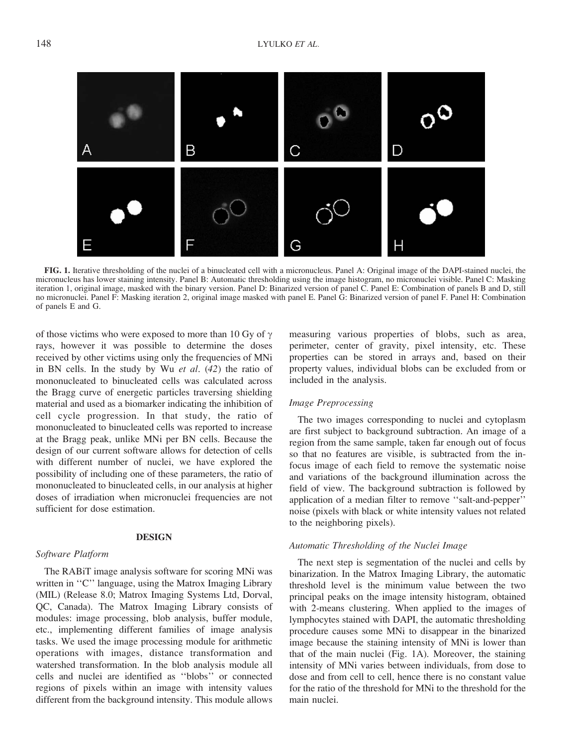

FIG. 1. Iterative thresholding of the nuclei of a binucleated cell with a micronucleus. Panel A: Original image of the DAPI-stained nuclei, the micronucleus has lower staining intensity. Panel B: Automatic thresholding using the image histogram, no micronuclei visible. Panel C: Masking iteration 1, original image, masked with the binary version. Panel D: Binarized version of panel C. Panel E: Combination of panels B and D, still no micronuclei. Panel F: Masking iteration 2, original image masked with panel E. Panel G: Binarized version of panel F. Panel H: Combination of panels E and G.

of those victims who were exposed to more than 10 Gy of  $\gamma$ rays, however it was possible to determine the doses received by other victims using only the frequencies of MNi in BN cells. In the study by Wu et al. (42) the ratio of mononucleated to binucleated cells was calculated across the Bragg curve of energetic particles traversing shielding material and used as a biomarker indicating the inhibition of cell cycle progression. In that study, the ratio of mononucleated to binucleated cells was reported to increase at the Bragg peak, unlike MNi per BN cells. Because the design of our current software allows for detection of cells with different number of nuclei, we have explored the possibility of including one of these parameters, the ratio of mononucleated to binucleated cells, in our analysis at higher doses of irradiation when micronuclei frequencies are not sufficient for dose estimation.

## DESIGN

# Software Platform

The RABiT image analysis software for scoring MNi was written in "C" language, using the Matrox Imaging Library (MIL) (Release 8.0; Matrox Imaging Systems Ltd, Dorval, QC, Canada). The Matrox Imaging Library consists of modules: image processing, blob analysis, buffer module, etc., implementing different families of image analysis tasks. We used the image processing module for arithmetic operations with images, distance transformation and watershed transformation. In the blob analysis module all cells and nuclei are identified as ''blobs'' or connected regions of pixels within an image with intensity values different from the background intensity. This module allows

measuring various properties of blobs, such as area, perimeter, center of gravity, pixel intensity, etc. These properties can be stored in arrays and, based on their property values, individual blobs can be excluded from or included in the analysis.

# Image Preprocessing

The two images corresponding to nuclei and cytoplasm are first subject to background subtraction. An image of a region from the same sample, taken far enough out of focus so that no features are visible, is subtracted from the infocus image of each field to remove the systematic noise and variations of the background illumination across the field of view. The background subtraction is followed by application of a median filter to remove ''salt-and-pepper'' noise (pixels with black or white intensity values not related to the neighboring pixels).

## Automatic Thresholding of the Nuclei Image

The next step is segmentation of the nuclei and cells by binarization. In the Matrox Imaging Library, the automatic threshold level is the minimum value between the two principal peaks on the image intensity histogram, obtained with 2-means clustering. When applied to the images of lymphocytes stained with DAPI, the automatic thresholding procedure causes some MNi to disappear in the binarized image because the staining intensity of MNi is lower than that of the main nuclei (Fig. 1A). Moreover, the staining intensity of MNi varies between individuals, from dose to dose and from cell to cell, hence there is no constant value for the ratio of the threshold for MNi to the threshold for the main nuclei.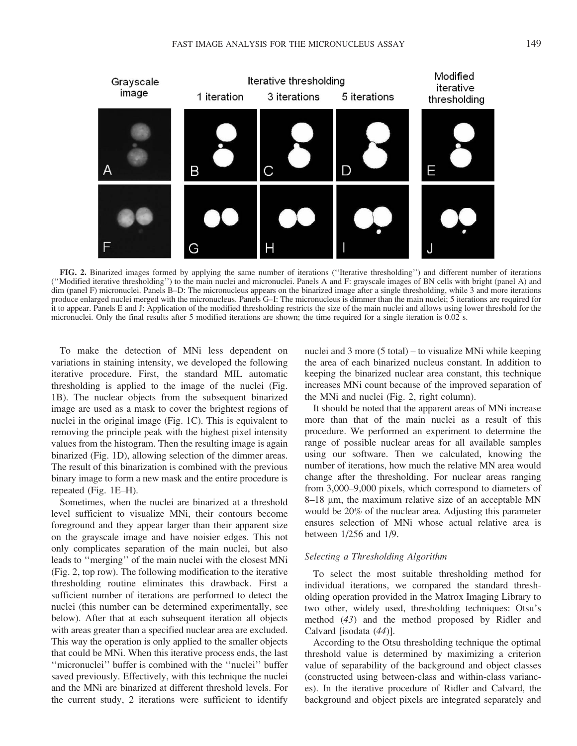

FIG. 2. Binarized images formed by applying the same number of iterations (''Iterative thresholding'') and different number of iterations (''Modified iterative thresholding'') to the main nuclei and micronuclei. Panels A and F: grayscale images of BN cells with bright (panel A) and dim (panel F) micronuclei. Panels B–D: The micronucleus appears on the binarized image after a single thresholding, while 3 and more iterations produce enlarged nuclei merged with the micronucleus. Panels G–I: The micronucleus is dimmer than the main nuclei; 5 iterations are required for it to appear. Panels E and J: Application of the modified thresholding restricts the size of the main nuclei and allows using lower threshold for the micronuclei. Only the final results after 5 modified iterations are shown; the time required for a single iteration is 0.02 s.

To make the detection of MNi less dependent on variations in staining intensity, we developed the following iterative procedure. First, the standard MIL automatic thresholding is applied to the image of the nuclei (Fig. 1B). The nuclear objects from the subsequent binarized image are used as a mask to cover the brightest regions of nuclei in the original image (Fig. 1C). This is equivalent to removing the principle peak with the highest pixel intensity values from the histogram. Then the resulting image is again binarized (Fig. 1D), allowing selection of the dimmer areas. The result of this binarization is combined with the previous binary image to form a new mask and the entire procedure is repeated (Fig. 1E–H).

Sometimes, when the nuclei are binarized at a threshold level sufficient to visualize MNi, their contours become foreground and they appear larger than their apparent size on the grayscale image and have noisier edges. This not only complicates separation of the main nuclei, but also leads to ''merging'' of the main nuclei with the closest MNi (Fig. 2, top row). The following modification to the iterative thresholding routine eliminates this drawback. First a sufficient number of iterations are performed to detect the nuclei (this number can be determined experimentally, see below). After that at each subsequent iteration all objects with areas greater than a specified nuclear area are excluded. This way the operation is only applied to the smaller objects that could be MNi. When this iterative process ends, the last ''micronuclei'' buffer is combined with the ''nuclei'' buffer saved previously. Effectively, with this technique the nuclei and the MNi are binarized at different threshold levels. For the current study, 2 iterations were sufficient to identify nuclei and 3 more (5 total) – to visualize MNi while keeping the area of each binarized nucleus constant. In addition to keeping the binarized nuclear area constant, this technique increases MNi count because of the improved separation of the MNi and nuclei (Fig. 2, right column).

It should be noted that the apparent areas of MNi increase more than that of the main nuclei as a result of this procedure. We performed an experiment to determine the range of possible nuclear areas for all available samples using our software. Then we calculated, knowing the number of iterations, how much the relative MN area would change after the thresholding. For nuclear areas ranging from 3,000–9,000 pixels, which correspond to diameters of 8–18 lm, the maximum relative size of an acceptable MN would be 20% of the nuclear area. Adjusting this parameter ensures selection of MNi whose actual relative area is between 1/256 and 1/9.

## Selecting a Thresholding Algorithm

To select the most suitable thresholding method for individual iterations, we compared the standard thresholding operation provided in the Matrox Imaging Library to two other, widely used, thresholding techniques: Otsu's method (43) and the method proposed by Ridler and Calvard [isodata (44)].

According to the Otsu thresholding technique the optimal threshold value is determined by maximizing a criterion value of separability of the background and object classes (constructed using between-class and within-class variances). In the iterative procedure of Ridler and Calvard, the background and object pixels are integrated separately and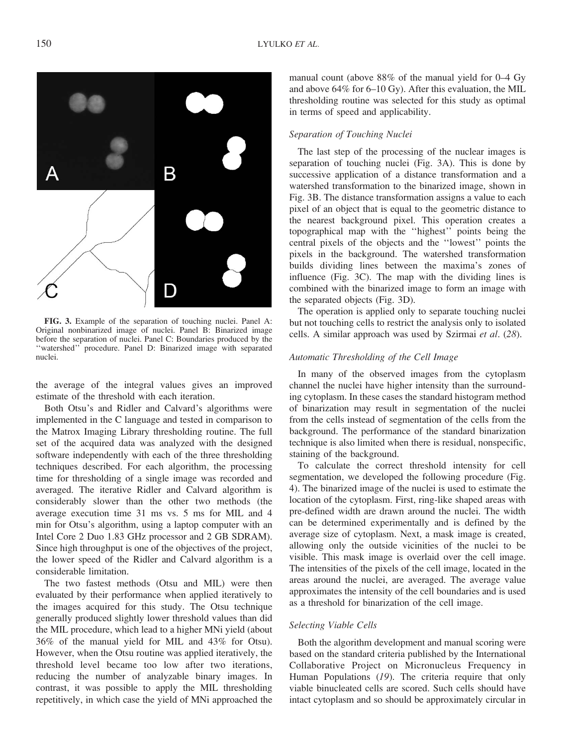

FIG. 3. Example of the separation of touching nuclei. Panel A: Original nonbinarized image of nuclei. Panel B: Binarized image before the separation of nuclei. Panel C: Boundaries produced by the ''watershed'' procedure. Panel D: Binarized image with separated nuclei.

the average of the integral values gives an improved estimate of the threshold with each iteration.

Both Otsu's and Ridler and Calvard's algorithms were implemented in the C language and tested in comparison to the Matrox Imaging Library thresholding routine. The full set of the acquired data was analyzed with the designed software independently with each of the three thresholding techniques described. For each algorithm, the processing time for thresholding of a single image was recorded and averaged. The iterative Ridler and Calvard algorithm is considerably slower than the other two methods (the average execution time 31 ms vs. 5 ms for MIL and 4 min for Otsu's algorithm, using a laptop computer with an Intel Core 2 Duo 1.83 GHz processor and 2 GB SDRAM). Since high throughput is one of the objectives of the project, the lower speed of the Ridler and Calvard algorithm is a considerable limitation.

The two fastest methods (Otsu and MIL) were then evaluated by their performance when applied iteratively to the images acquired for this study. The Otsu technique generally produced slightly lower threshold values than did the MIL procedure, which lead to a higher MNi yield (about 36% of the manual yield for MIL and 43% for Otsu). However, when the Otsu routine was applied iteratively, the threshold level became too low after two iterations, reducing the number of analyzable binary images. In contrast, it was possible to apply the MIL thresholding repetitively, in which case the yield of MNi approached the manual count (above 88% of the manual yield for 0–4 Gy and above 64% for 6–10 Gy). After this evaluation, the MIL thresholding routine was selected for this study as optimal in terms of speed and applicability.

# Separation of Touching Nuclei

The last step of the processing of the nuclear images is separation of touching nuclei (Fig. 3A). This is done by successive application of a distance transformation and a watershed transformation to the binarized image, shown in Fig. 3B. The distance transformation assigns a value to each pixel of an object that is equal to the geometric distance to the nearest background pixel. This operation creates a topographical map with the ''highest'' points being the central pixels of the objects and the ''lowest'' points the pixels in the background. The watershed transformation builds dividing lines between the maxima's zones of influence (Fig. 3C). The map with the dividing lines is combined with the binarized image to form an image with the separated objects (Fig. 3D).

The operation is applied only to separate touching nuclei but not touching cells to restrict the analysis only to isolated cells. A similar approach was used by Szirmai et al. (28).

# Automatic Thresholding of the Cell Image

In many of the observed images from the cytoplasm channel the nuclei have higher intensity than the surrounding cytoplasm. In these cases the standard histogram method of binarization may result in segmentation of the nuclei from the cells instead of segmentation of the cells from the background. The performance of the standard binarization technique is also limited when there is residual, nonspecific, staining of the background.

To calculate the correct threshold intensity for cell segmentation, we developed the following procedure (Fig. 4). The binarized image of the nuclei is used to estimate the location of the cytoplasm. First, ring-like shaped areas with pre-defined width are drawn around the nuclei. The width can be determined experimentally and is defined by the average size of cytoplasm. Next, a mask image is created, allowing only the outside vicinities of the nuclei to be visible. This mask image is overlaid over the cell image. The intensities of the pixels of the cell image, located in the areas around the nuclei, are averaged. The average value approximates the intensity of the cell boundaries and is used as a threshold for binarization of the cell image.

# Selecting Viable Cells

Both the algorithm development and manual scoring were based on the standard criteria published by the International Collaborative Project on Micronucleus Frequency in Human Populations (19). The criteria require that only viable binucleated cells are scored. Such cells should have intact cytoplasm and so should be approximately circular in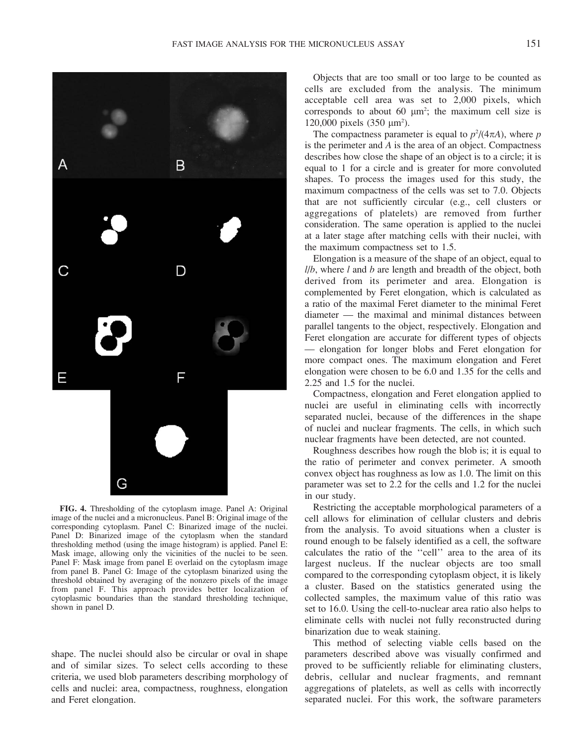

FIG. 4. Thresholding of the cytoplasm image. Panel A: Original image of the nuclei and a micronucleus. Panel B: Original image of the corresponding cytoplasm. Panel C: Binarized image of the nuclei. Panel D: Binarized image of the cytoplasm when the standard thresholding method (using the image histogram) is applied. Panel E: Mask image, allowing only the vicinities of the nuclei to be seen. Panel F: Mask image from panel E overlaid on the cytoplasm image from panel B. Panel G: Image of the cytoplasm binarized using the threshold obtained by averaging of the nonzero pixels of the image from panel F. This approach provides better localization of cytoplasmic boundaries than the standard thresholding technique, shown in panel D.

shape. The nuclei should also be circular or oval in shape and of similar sizes. To select cells according to these criteria, we used blob parameters describing morphology of cells and nuclei: area, compactness, roughness, elongation and Feret elongation.

Objects that are too small or too large to be counted as cells are excluded from the analysis. The minimum acceptable cell area was set to 2,000 pixels, which corresponds to about 60  $\mu$ m<sup>2</sup>; the maximum cell size is 120,000 pixels (350 μm<sup>2</sup>).

The compactness parameter is equal to  $p^2/(4\pi A)$ , where p is the perimeter and A is the area of an object. Compactness describes how close the shape of an object is to a circle; it is equal to 1 for a circle and is greater for more convoluted shapes. To process the images used for this study, the maximum compactness of the cells was set to 7.0. Objects that are not sufficiently circular (e.g., cell clusters or aggregations of platelets) are removed from further consideration. The same operation is applied to the nuclei at a later stage after matching cells with their nuclei, with the maximum compactness set to 1.5.

Elongation is a measure of the shape of an object, equal to  $\ell/b$ , where  $\ell$  and  $b$  are length and breadth of the object, both derived from its perimeter and area. Elongation is complemented by Feret elongation, which is calculated as a ratio of the maximal Feret diameter to the minimal Feret diameter — the maximal and minimal distances between parallel tangents to the object, respectively. Elongation and Feret elongation are accurate for different types of objects — elongation for longer blobs and Feret elongation for more compact ones. The maximum elongation and Feret elongation were chosen to be 6.0 and 1.35 for the cells and 2.25 and 1.5 for the nuclei.

Compactness, elongation and Feret elongation applied to nuclei are useful in eliminating cells with incorrectly separated nuclei, because of the differences in the shape of nuclei and nuclear fragments. The cells, in which such nuclear fragments have been detected, are not counted.

Roughness describes how rough the blob is; it is equal to the ratio of perimeter and convex perimeter. A smooth convex object has roughness as low as 1.0. The limit on this parameter was set to 2.2 for the cells and 1.2 for the nuclei in our study.

Restricting the acceptable morphological parameters of a cell allows for elimination of cellular clusters and debris from the analysis. To avoid situations when a cluster is round enough to be falsely identified as a cell, the software calculates the ratio of the ''cell'' area to the area of its largest nucleus. If the nuclear objects are too small compared to the corresponding cytoplasm object, it is likely a cluster. Based on the statistics generated using the collected samples, the maximum value of this ratio was set to 16.0. Using the cell-to-nuclear area ratio also helps to eliminate cells with nuclei not fully reconstructed during binarization due to weak staining.

This method of selecting viable cells based on the parameters described above was visually confirmed and proved to be sufficiently reliable for eliminating clusters, debris, cellular and nuclear fragments, and remnant aggregations of platelets, as well as cells with incorrectly separated nuclei. For this work, the software parameters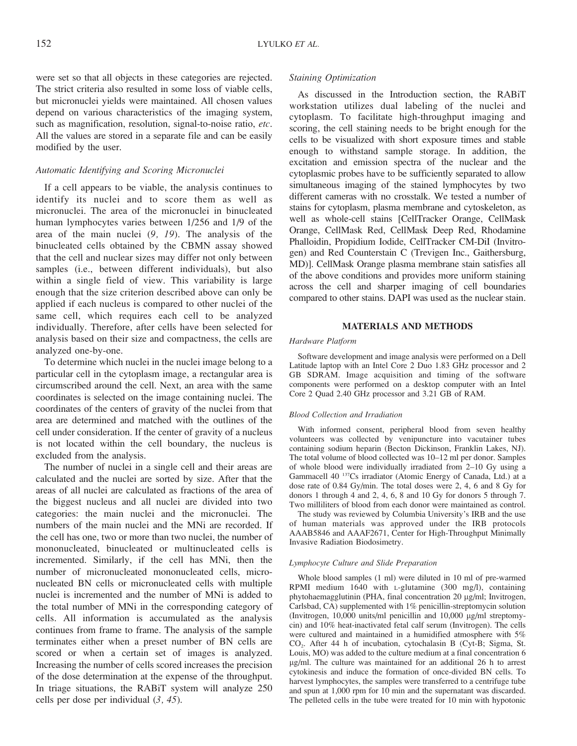were set so that all objects in these categories are rejected. The strict criteria also resulted in some loss of viable cells, but micronuclei yields were maintained. All chosen values depend on various characteristics of the imaging system, such as magnification, resolution, signal-to-noise ratio, etc. All the values are stored in a separate file and can be easily modified by the user.

## Automatic Identifying and Scoring Micronuclei

If a cell appears to be viable, the analysis continues to identify its nuclei and to score them as well as micronuclei. The area of the micronuclei in binucleated human lymphocytes varies between 1/256 and 1/9 of the area of the main nuclei  $(9, 19)$ . The analysis of the binucleated cells obtained by the CBMN assay showed that the cell and nuclear sizes may differ not only between samples (i.e., between different individuals), but also within a single field of view. This variability is large enough that the size criterion described above can only be applied if each nucleus is compared to other nuclei of the same cell, which requires each cell to be analyzed individually. Therefore, after cells have been selected for analysis based on their size and compactness, the cells are analyzed one-by-one.

To determine which nuclei in the nuclei image belong to a particular cell in the cytoplasm image, a rectangular area is circumscribed around the cell. Next, an area with the same coordinates is selected on the image containing nuclei. The coordinates of the centers of gravity of the nuclei from that area are determined and matched with the outlines of the cell under consideration. If the center of gravity of a nucleus is not located within the cell boundary, the nucleus is excluded from the analysis.

The number of nuclei in a single cell and their areas are calculated and the nuclei are sorted by size. After that the areas of all nuclei are calculated as fractions of the area of the biggest nucleus and all nuclei are divided into two categories: the main nuclei and the micronuclei. The numbers of the main nuclei and the MNi are recorded. If the cell has one, two or more than two nuclei, the number of mononucleated, binucleated or multinucleated cells is incremented. Similarly, if the cell has MNi, then the number of micronucleated mononucleated cells, micronucleated BN cells or micronucleated cells with multiple nuclei is incremented and the number of MNi is added to the total number of MNi in the corresponding category of cells. All information is accumulated as the analysis continues from frame to frame. The analysis of the sample terminates either when a preset number of BN cells are scored or when a certain set of images is analyzed. Increasing the number of cells scored increases the precision of the dose determination at the expense of the throughput. In triage situations, the RABiT system will analyze 250 cells per dose per individual (3, 45).

# Staining Optimization

As discussed in the Introduction section, the RABiT workstation utilizes dual labeling of the nuclei and cytoplasm. To facilitate high-throughput imaging and scoring, the cell staining needs to be bright enough for the cells to be visualized with short exposure times and stable enough to withstand sample storage. In addition, the excitation and emission spectra of the nuclear and the cytoplasmic probes have to be sufficiently separated to allow simultaneous imaging of the stained lymphocytes by two different cameras with no crosstalk. We tested a number of stains for cytoplasm, plasma membrane and cytoskeleton, as well as whole-cell stains [CellTracker Orange, CellMask Orange, CellMask Red, CellMask Deep Red, Rhodamine Phalloidin, Propidium Iodide, CellTracker CM-DiI (Invitrogen) and Red Counterstain C (Trevigen Inc., Gaithersburg, MD)]. CellMask Orange plasma membrane stain satisfies all of the above conditions and provides more uniform staining across the cell and sharper imaging of cell boundaries compared to other stains. DAPI was used as the nuclear stain.

# MATERIALS AND METHODS

# Hardware Platform

Software development and image analysis were performed on a Dell Latitude laptop with an Intel Core 2 Duo 1.83 GHz processor and 2 GB SDRAM. Image acquisition and timing of the software components were performed on a desktop computer with an Intel Core 2 Quad 2.40 GHz processor and 3.21 GB of RAM.

#### Blood Collection and Irradiation

With informed consent, peripheral blood from seven healthy volunteers was collected by venipuncture into vacutainer tubes containing sodium heparin (Becton Dickinson, Franklin Lakes, NJ). The total volume of blood collected was 10–12 ml per donor. Samples of whole blood were individually irradiated from 2–10 Gy using a Gammacell 40 137Cs irradiator (Atomic Energy of Canada, Ltd.) at a dose rate of 0.84 Gy/min. The total doses were 2, 4, 6 and 8 Gy for donors 1 through 4 and 2, 4, 6, 8 and 10 Gy for donors 5 through 7. Two milliliters of blood from each donor were maintained as control.

The study was reviewed by Columbia University's IRB and the use of human materials was approved under the IRB protocols AAAB5846 and AAAF2671, Center for High-Throughput Minimally Invasive Radiation Biodosimetry.

## Lymphocyte Culture and Slide Preparation

Whole blood samples (1 ml) were diluted in 10 ml of pre-warmed RPMI medium 1640 with L-glutamine (300 mg/l), containing phytohaemagglutinin (PHA, final concentration 20 µg/ml; Invitrogen, Carlsbad, CA) supplemented with 1% penicillin-streptomycin solution (Invitrogen,  $10,000$  units/ml penicillin and  $10,000$   $\mu$ g/ml streptomycin) and 10% heat-inactivated fetal calf serum (Invitrogen). The cells were cultured and maintained in a humidified atmosphere with 5% CO2. After 44 h of incubation, cytochalasin B (Cyt-B; Sigma, St. Louis, MO) was added to the culture medium at a final concentration 6 lg/ml. The culture was maintained for an additional 26 h to arrest cytokinesis and induce the formation of once-divided BN cells. To harvest lymphocytes, the samples were transferred to a centrifuge tube and spun at 1,000 rpm for 10 min and the supernatant was discarded. The pelleted cells in the tube were treated for 10 min with hypotonic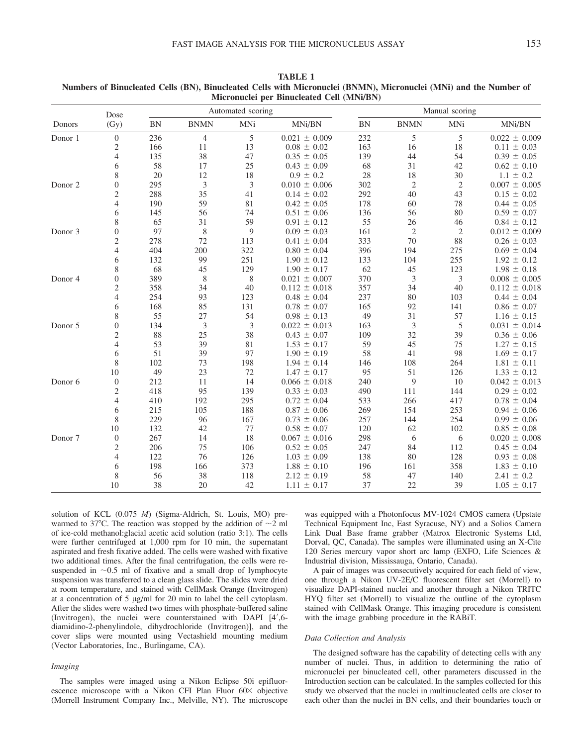|         | Dose                     | Automated scoring |                             |               |                   | Manual scoring |                |                |                   |
|---------|--------------------------|-------------------|-----------------------------|---------------|-------------------|----------------|----------------|----------------|-------------------|
| Donors  | (Gy)                     | <b>BN</b>         | <b>BNMN</b>                 | <b>MNi</b>    | MNi/BN            | <b>BN</b>      | <b>BNMN</b>    | <b>MNi</b>     | MNi/BN            |
| Donor 1 | $\boldsymbol{0}$         | 236               | $\overline{4}$              | $\mathfrak s$ | $0.021 \pm 0.009$ | 232            | $\mathfrak s$  | $\mathfrak s$  | $0.022 \pm 0.009$ |
|         | $\overline{c}$           | 166               | 11                          | 13            | $0.08 \pm 0.02$   | 163            | 16             | 18             | $0.11 \pm 0.03$   |
|         | $\overline{\mathcal{L}}$ | 135               | 38                          | 47            | $0.35 \pm 0.05$   | 139            | 44             | 54             | $0.39 \pm 0.05$   |
|         | 6                        | 58                | 17                          | 25            | $0.43 \pm 0.09$   | 68             | 31             | 42             | $0.62 \pm 0.10$   |
|         | 8                        | 20                | 12                          | 18            | $0.9 \pm 0.2$     | 28             | 18             | 30             | $1.1 \pm 0.2$     |
| Donor 2 | $\boldsymbol{0}$         | 295               | $\ensuremath{\mathfrak{Z}}$ | 3             | $0.010 \pm 0.006$ | 302            | $\sqrt{2}$     | $\overline{c}$ | $0.007 \pm 0.005$ |
|         | $\overline{c}$           | 288               | 35                          | 41            | $0.14 \pm 0.02$   | 292            | 40             | 43             | $0.15 \pm 0.02$   |
|         | $\overline{4}$           | 190               | 59                          | 81            | $0.42 \pm 0.05$   | 178            | 60             | 78             | $0.44 \pm 0.05$   |
|         | 6                        | 145               | 56                          | 74            | $0.51 \pm 0.06$   | 136            | 56             | 80             | $0.59 \pm 0.07$   |
|         | 8                        | 65                | 31                          | 59            | $0.91 \pm 0.12$   | 55             | 26             | 46             | $0.84 \pm 0.12$   |
| Donor 3 | $\boldsymbol{0}$         | 97                | $\,$ $\,$                   | 9             | $0.09 \pm 0.03$   | 161            | $\sqrt{2}$     | $\overline{c}$ | $0.012 \pm 0.009$ |
|         | $\overline{c}$           | 278               | 72                          | 113           | $0.41 \pm 0.04$   | 333            | 70             | 88             | $0.26 \pm 0.03$   |
|         | $\overline{4}$           | 404               | 200                         | 322           | $0.80 \pm 0.04$   | 396            | 194            | 275            | $0.69 \pm 0.04$   |
|         | 6                        | 132               | 99                          | 251           | $1.90 \pm 0.12$   | 133            | 104            | 255            | $1.92 \pm 0.12$   |
|         | 8                        | 68                | 45                          | 129           | $1.90 \pm 0.17$   | 62             | 45             | 123            | $1.98 \pm 0.18$   |
| Donor 4 | $\boldsymbol{0}$         | 389               | $\,$ 8 $\,$                 | $8\,$         | $0.021 \pm 0.007$ | 370            | $\mathfrak{Z}$ | 3              | $0.008 \pm 0.005$ |
|         | $\overline{2}$           | 358               | 34                          | 40            | $0.112 \pm 0.018$ | 357            | 34             | 40             | $0.112 \pm 0.018$ |
|         | $\overline{\mathcal{L}}$ | 254               | 93                          | 123           | $0.48 \pm 0.04$   | 237            | 80             | 103            | $0.44 \pm 0.04$   |
|         | 6                        | 168               | 85                          | 131           | $0.78 \pm 0.07$   | 165            | 92             | 141            | $0.86 \pm 0.07$   |
|         | 8                        | 55                | 27                          | 54            | $0.98 \pm 0.13$   | 49             | 31             | 57             | $1.16 \pm 0.15$   |
| Donor 5 | $\boldsymbol{0}$         | 134               | 3                           | 3             | $0.022 \pm 0.013$ | 163            | 3              | $\mathfrak s$  | $0.031 \pm 0.014$ |
|         | $\overline{2}$           | 88                | 25                          | 38            | $0.43 \pm 0.07$   | 109            | 32             | 39             | $0.36 \pm 0.06$   |
|         | $\overline{\mathcal{L}}$ | 53                | 39                          | 81            | $1.53 \pm 0.17$   | 59             | 45             | 75             | $1.27 \pm 0.15$   |
|         | 6                        | 51                | 39                          | 97            | $1.90 \pm 0.19$   | 58             | 41             | 98             | $1.69 \pm 0.17$   |
|         | $\,$ $\,$                | 102               | 73                          | 198           | $1.94 \pm 0.14$   | 146            | 108            | 264            | $1.81 \pm 0.11$   |
|         | 10                       | 49                | 23                          | 72            | $1.47 \pm 0.17$   | 95             | 51             | 126            | $1.33 \pm 0.12$   |
| Donor 6 | $\boldsymbol{0}$         | 212               | 11                          | 14            | $0.066 \pm 0.018$ | 240            | 9              | 10             | $0.042 \pm 0.013$ |
|         | $\overline{c}$           | 418               | 95                          | 139           | $0.33 \pm 0.03$   | 490            | 111            | 144            | $0.29 \pm 0.02$   |
|         | 4                        | 410               | 192                         | 295           | $0.72 \pm 0.04$   | 533            | 266            | 417            | $0.78 \pm 0.04$   |
|         | 6                        | 215               | 105                         | 188           | $0.87 \pm 0.06$   | 269            | 154            | 253            | $0.94 \pm 0.06$   |
|         | $\,$ 8 $\,$              | 229               | 96                          | 167           | $0.73 \pm 0.06$   | 257            | 144            | 254            | $0.99 \pm 0.06$   |
|         | 10                       | 132               | 42                          | 77            | $0.58 \pm 0.07$   | 120            | 62             | 102            | $0.85 \pm 0.08$   |
| Donor 7 | $\boldsymbol{0}$         | 267               | 14                          | 18            | $0.067 \pm 0.016$ | 298            | 6              | 6              | $0.020 \pm 0.008$ |
|         | $\overline{c}$           | 206               | 75                          | 106           | $0.52 \pm 0.05$   | 247            | 84             | 112            | $0.45 \pm 0.04$   |
|         | $\overline{4}$           | 122               | 76                          | 126           | $1.03 \pm 0.09$   | 138            | 80             | 128            | $0.93 \pm 0.08$   |
|         | 6                        | 198               | 166                         | 373           | $1.88 \pm 0.10$   | 196            | 161            | 358            | $1.83 \pm 0.10$   |
|         | $\,$ 8 $\,$              | 56                | 38                          | 118           | $2.12 \pm 0.19$   | 58             | 47             | 140            | $2.41 \pm 0.2$    |
|         | 10                       | 38                | 20                          | 42            | $1.11 \pm 0.17$   | 37             | 22             | 39             | $1.05 \pm 0.17$   |

TABLE 1 Numbers of Binucleated Cells (BN), Binucleated Cells with Micronuclei (BNMN), Micronuclei (MNi) and the Number of Micronuclei per Binucleated Cell (MNi/BN)

solution of KCL (0.075 M) (Sigma-Aldrich, St. Louis, MO) prewarmed to 37°C. The reaction was stopped by the addition of  $\sim$ 2 ml of ice-cold methanol:glacial acetic acid solution (ratio 3:1). The cells were further centrifuged at 1,000 rpm for 10 min, the supernatant aspirated and fresh fixative added. The cells were washed with fixative two additional times. After the final centrifugation, the cells were resuspended in  $~0.5$  ml of fixative and a small drop of lymphocyte suspension was transferred to a clean glass slide. The slides were dried at room temperature, and stained with CellMask Orange (Invitrogen) at a concentration of 5 lg/ml for 20 min to label the cell cytoplasm. After the slides were washed two times with phosphate-buffered saline (Invitrogen), the nuclei were counterstained with DAPI  $[4',6$ diamidino-2-phenylindole, dihydrochloride (Invitrogen)], and the cover slips were mounted using Vectashield mounting medium (Vector Laboratories, Inc., Burlingame, CA).

### Imaging

The samples were imaged using a Nikon Eclipse 50i epifluorescence microscope with a Nikon CFI Plan Fluor  $60 \times$  objective (Morrell Instrument Company Inc., Melville, NY). The microscope was equipped with a Photonfocus MV-1024 CMOS camera (Upstate Technical Equipment Inc, East Syracuse, NY) and a Solios Camera Link Dual Base frame grabber (Matrox Electronic Systems Ltd, Dorval, QC, Canada). The samples were illuminated using an X-Cite 120 Series mercury vapor short arc lamp (EXFO, Life Sciences & Industrial division, Mississauga, Ontario, Canada).

A pair of images was consecutively acquired for each field of view, one through a Nikon UV-2E/C fluorescent filter set (Morrell) to visualize DAPI-stained nuclei and another through a Nikon TRITC HYQ filter set (Morrell) to visualize the outline of the cytoplasm stained with CellMask Orange. This imaging procedure is consistent with the image grabbing procedure in the RABiT.

#### Data Collection and Analysis

The designed software has the capability of detecting cells with any number of nuclei. Thus, in addition to determining the ratio of micronuclei per binucleated cell, other parameters discussed in the Introduction section can be calculated. In the samples collected for this study we observed that the nuclei in multinucleated cells are closer to each other than the nuclei in BN cells, and their boundaries touch or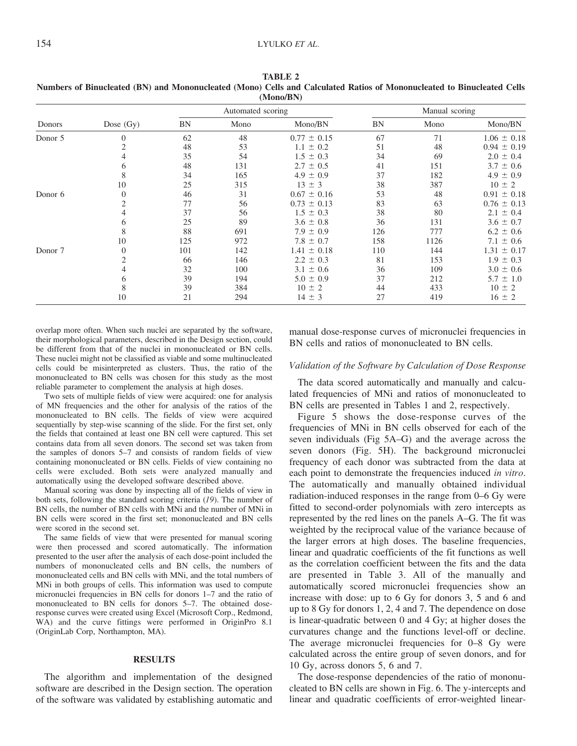|         |             | Automated scoring |      |                 | Manual scoring |      |                 |
|---------|-------------|-------------------|------|-----------------|----------------|------|-----------------|
| Donors  | Dose $(Gy)$ | BN                | Mono | Mono/BN         | BN             | Mono | Mono/BN         |
| Donor 5 | $\theta$    | 62                | 48   | $0.77 \pm 0.15$ | 67             | 71   | $1.06 \pm 0.18$ |
|         |             | 48                | 53   | $1.1 \pm 0.2$   | 51             | 48   | $0.94 \pm 0.19$ |
|         | 4           | 35                | 54   | $1.5 \pm 0.3$   | 34             | 69   | $2.0 \pm 0.4$   |
|         | 6           | 48                | 131  | $2.7 \pm 0.5$   | 41             | 151  | $3.7 \pm 0.6$   |
|         | 8           | 34                | 165  | $4.9 \pm 0.9$   | 37             | 182  | $4.9 \pm 0.9$   |
|         | 10          | 25                | 315  | $13 \pm 3$      | 38             | 387  | $10 \pm 2$      |
| Donor 6 | $\theta$    | 46                | 31   | $0.67 \pm 0.16$ | 53             | 48   | $0.91 \pm 0.18$ |
|         | 2           | 77                | 56   | $0.73 \pm 0.13$ | 83             | 63   | $0.76 \pm 0.13$ |
|         | 4           | 37                | 56   | $1.5 \pm 0.3$   | 38             | 80   | $2.1 \pm 0.4$   |
|         | 6           | 25                | 89   | $3.6 \pm 0.8$   | 36             | 131  | $3.6 \pm 0.7$   |
|         | 8           | 88                | 691  | $7.9 \pm 0.9$   | 126            | 777  | $6.2 \pm 0.6$   |
|         | 10          | 125               | 972  | $7.8 \pm 0.7$   | 158            | 1126 | $7.1 \pm 0.6$   |
| Donor 7 | $\Omega$    | 101               | 142  | $1.41 \pm 0.18$ | 110            | 144  | $1.31 \pm 0.17$ |
|         |             | 66                | 146  | $2.2 \pm 0.3$   | 81             | 153  | $1.9 \pm 0.3$   |
|         | 4           | 32                | 100  | $3.1 \pm 0.6$   | 36             | 109  | $3.0 \pm 0.6$   |
|         | 6           | 39                | 194  | $5.0 \pm 0.9$   | 37             | 212  | $5.7 \pm 1.0$   |
|         | 8           | 39                | 384  | $10 \pm 2$      | 44             | 433  | $10 \pm 2$      |
|         | 10          | 21                | 294  | $14 \pm 3$      | 27             | 419  | $16 \pm 2$      |

TABLE 2 Numbers of Binucleated (BN) and Mononucleated (Mono) Cells and Calculated Ratios of Mononucleated to Binucleated Cells (Mono/BN)

overlap more often. When such nuclei are separated by the software, their morphological parameters, described in the Design section, could be different from that of the nuclei in mononucleated or BN cells. These nuclei might not be classified as viable and some multinucleated cells could be misinterpreted as clusters. Thus, the ratio of the mononucleated to BN cells was chosen for this study as the most reliable parameter to complement the analysis at high doses.

Two sets of multiple fields of view were acquired: one for analysis of MN frequencies and the other for analysis of the ratios of the mononucleated to BN cells. The fields of view were acquired sequentially by step-wise scanning of the slide. For the first set, only the fields that contained at least one BN cell were captured. This set contains data from all seven donors. The second set was taken from the samples of donors 5–7 and consists of random fields of view containing mononucleated or BN cells. Fields of view containing no cells were excluded. Both sets were analyzed manually and automatically using the developed software described above.

Manual scoring was done by inspecting all of the fields of view in both sets, following the standard scoring criteria (19). The number of BN cells, the number of BN cells with MNi and the number of MNi in BN cells were scored in the first set; mononucleated and BN cells were scored in the second set.

The same fields of view that were presented for manual scoring were then processed and scored automatically. The information presented to the user after the analysis of each dose-point included the numbers of mononucleated cells and BN cells, the numbers of mononucleated cells and BN cells with MNi, and the total numbers of MNi in both groups of cells. This information was used to compute micronuclei frequencies in BN cells for donors 1–7 and the ratio of mononucleated to BN cells for donors 5–7. The obtained doseresponse curves were created using Excel (Microsoft Corp., Redmond, WA) and the curve fittings were performed in OriginPro 8.1 (OriginLab Corp, Northampton, MA).

## RESULTS

The algorithm and implementation of the designed software are described in the Design section. The operation of the software was validated by establishing automatic and manual dose-response curves of micronuclei frequencies in BN cells and ratios of mononucleated to BN cells.

## Validation of the Software by Calculation of Dose Response

The data scored automatically and manually and calculated frequencies of MNi and ratios of mononucleated to BN cells are presented in Tables 1 and 2, respectively.

Figure 5 shows the dose-response curves of the frequencies of MNi in BN cells observed for each of the seven individuals (Fig 5A–G) and the average across the seven donors (Fig. 5H). The background micronuclei frequency of each donor was subtracted from the data at each point to demonstrate the frequencies induced in vitro. The automatically and manually obtained individual radiation-induced responses in the range from 0–6 Gy were fitted to second-order polynomials with zero intercepts as represented by the red lines on the panels A–G. The fit was weighted by the reciprocal value of the variance because of the larger errors at high doses. The baseline frequencies, linear and quadratic coefficients of the fit functions as well as the correlation coefficient between the fits and the data are presented in Table 3. All of the manually and automatically scored micronuclei frequencies show an increase with dose: up to 6 Gy for donors 3, 5 and 6 and up to 8 Gy for donors 1, 2, 4 and 7. The dependence on dose is linear-quadratic between 0 and 4 Gy; at higher doses the curvatures change and the functions level-off or decline. The average micronuclei frequencies for 0–8 Gy were calculated across the entire group of seven donors, and for 10 Gy, across donors 5, 6 and 7.

The dose-response dependencies of the ratio of mononucleated to BN cells are shown in Fig. 6. The y-intercepts and linear and quadratic coefficients of error-weighted linear-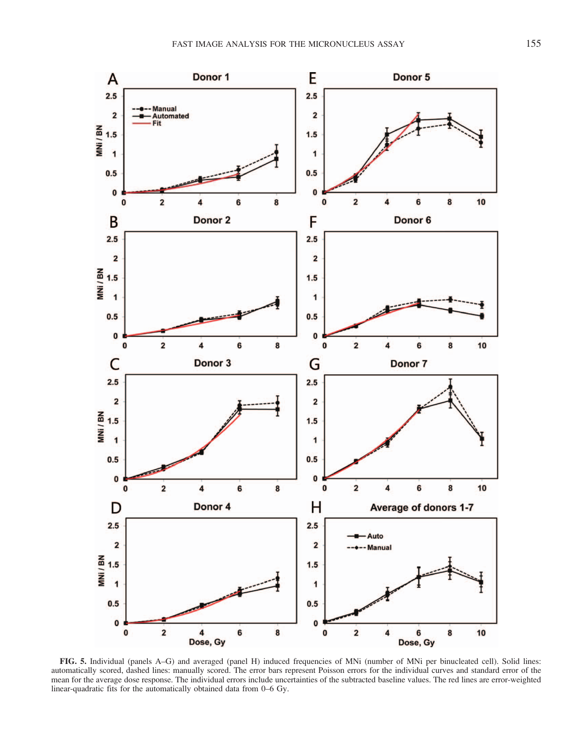

FIG. 5. Individual (panels A–G) and averaged (panel H) induced frequencies of MNi (number of MNi per binucleated cell). Solid lines: automatically scored, dashed lines: manually scored. The error bars represent Poisson errors for the individual curves and standard error of the mean for the average dose response. The individual errors include uncertainties of the subtracted baseline values. The red lines are error-weighted linear-quadratic fits for the automatically obtained data from 0–6 Gy.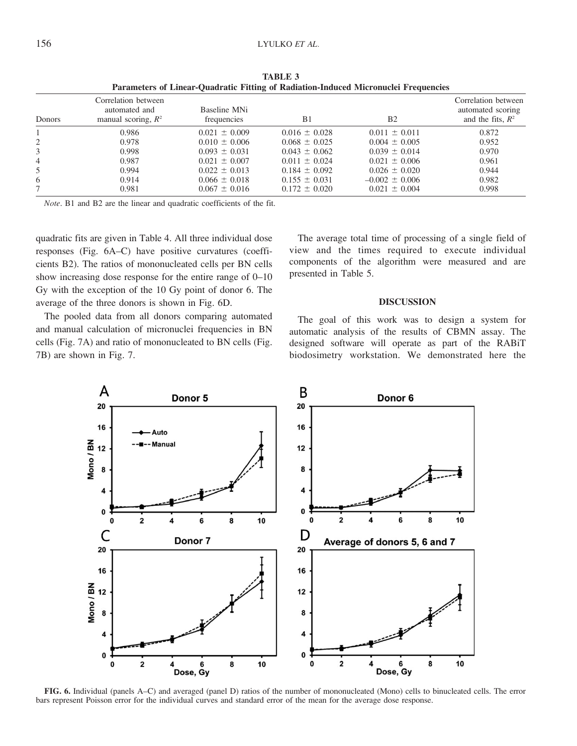|        | <b>Farameters of Linear-Quadratic Fitting of Kaulation-Induced Micronuclei Frequencies</b> |                             |                   |                    |                                                                 |  |  |
|--------|--------------------------------------------------------------------------------------------|-----------------------------|-------------------|--------------------|-----------------------------------------------------------------|--|--|
| Donors | Correlation between<br>automated and<br>manual scoring, $R^2$                              | Baseline MNi<br>frequencies | B <sub>1</sub>    | B <sub>2</sub>     | Correlation between<br>automated scoring<br>and the fits, $R^2$ |  |  |
|        | 0.986                                                                                      | $0.021 \pm 0.009$           | $0.016 \pm 0.028$ | $0.011 \pm 0.011$  | 0.872                                                           |  |  |
|        | 0.978                                                                                      | $0.010 \pm 0.006$           | $0.068 \pm 0.025$ | $0.004 \pm 0.005$  | 0.952                                                           |  |  |
|        | 0.998                                                                                      | $0.093 \pm 0.031$           | $0.043 \pm 0.062$ | $0.039 \pm 0.014$  | 0.970                                                           |  |  |
| 4      | 0.987                                                                                      | $0.021 \pm 0.007$           | $0.011 \pm 0.024$ | $0.021 \pm 0.006$  | 0.961                                                           |  |  |
| 5      | 0.994                                                                                      | $0.022 \pm 0.013$           | $0.184 \pm 0.092$ | $0.026 \pm 0.020$  | 0.944                                                           |  |  |
| 6      | 0.914                                                                                      | $0.066 \pm 0.018$           | $0.155 \pm 0.031$ | $-0.002 \pm 0.006$ | 0.982                                                           |  |  |
|        | 0.981                                                                                      | $0.067 \pm 0.016$           | $0.172 \pm 0.020$ | $0.021 \pm 0.004$  | 0.998                                                           |  |  |

TABLE 3 Parameters of Linear-Quadratic Fitting of Radiation-Induced Micronuclei Frequencies

Note. B1 and B2 are the linear and quadratic coefficients of the fit.

quadratic fits are given in Table 4. All three individual dose responses (Fig. 6A–C) have positive curvatures (coefficients B2). The ratios of mononucleated cells per BN cells show increasing dose response for the entire range of 0–10 Gy with the exception of the 10 Gy point of donor 6. The average of the three donors is shown in Fig. 6D.

The pooled data from all donors comparing automated and manual calculation of micronuclei frequencies in BN cells (Fig. 7A) and ratio of mononucleated to BN cells (Fig. 7B) are shown in Fig. 7.

The average total time of processing of a single field of view and the times required to execute individual components of the algorithm were measured and are presented in Table 5.

# DISCUSSION

The goal of this work was to design a system for automatic analysis of the results of CBMN assay. The designed software will operate as part of the RABiT biodosimetry workstation. We demonstrated here the



FIG. 6. Individual (panels A–C) and averaged (panel D) ratios of the number of mononucleated (Mono) cells to binucleated cells. The error bars represent Poisson error for the individual curves and standard error of the mean for the average dose response.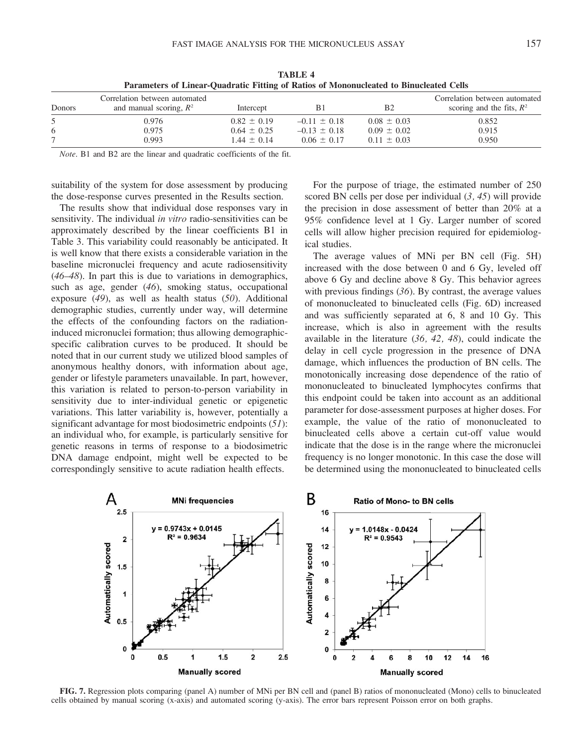|   | ×                | I<br>٠ |
|---|------------------|--------|
| ш | I<br>I<br>×<br>v |        |

| Donors | Correlation between automated<br>and manual scoring, $R^2$ | Intercept       |                  | B <sub>2</sub>  | Correlation between automated<br>scoring and the fits, $R^2$ |
|--------|------------------------------------------------------------|-----------------|------------------|-----------------|--------------------------------------------------------------|
|        | 0.976                                                      | $0.82 \pm 0.19$ | $-0.11 \pm 0.18$ | $0.08 \pm 0.03$ | 0.852                                                        |
| 6      | 0.975                                                      | $0.64 \pm 0.25$ | $-0.13 \pm 0.18$ | $0.09 \pm 0.02$ | 0.915                                                        |
|        | 0.993                                                      | $1.44 \pm 0.14$ | $0.06 \pm 0.17$  | $0.11 \pm 0.03$ | 0.950                                                        |

TABLE 4 Parameters of Linear-Quadratic Fitting of Ratios of Mononucleated to Binucleated Cells

Note. B1 and B2 are the linear and quadratic coefficients of the fit.

suitability of the system for dose assessment by producing the dose-response curves presented in the Results section.

The results show that individual dose responses vary in sensitivity. The individual *in vitro* radio-sensitivities can be approximately described by the linear coefficients B1 in Table 3. This variability could reasonably be anticipated. It is well know that there exists a considerable variation in the baseline micronuclei frequency and acute radiosensitivity (46–48). In part this is due to variations in demographics, such as age, gender (46), smoking status, occupational exposure (49), as well as health status (50). Additional demographic studies, currently under way, will determine the effects of the confounding factors on the radiationinduced micronuclei formation; thus allowing demographicspecific calibration curves to be produced. It should be noted that in our current study we utilized blood samples of anonymous healthy donors, with information about age, gender or lifestyle parameters unavailable. In part, however, this variation is related to person-to-person variability in sensitivity due to inter-individual genetic or epigenetic variations. This latter variability is, however, potentially a significant advantage for most biodosimetric endpoints (51): an individual who, for example, is particularly sensitive for genetic reasons in terms of response to a biodosimetric DNA damage endpoint, might well be expected to be correspondingly sensitive to acute radiation health effects.

For the purpose of triage, the estimated number of 250 scored BN cells per dose per individual  $(3, 45)$  will provide the precision in dose assessment of better than 20% at a 95% confidence level at 1 Gy. Larger number of scored cells will allow higher precision required for epidemiological studies.

The average values of MNi per BN cell (Fig. 5H) increased with the dose between 0 and 6 Gy, leveled off above 6 Gy and decline above 8 Gy. This behavior agrees with previous findings  $(36)$ . By contrast, the average values of mononucleated to binucleated cells (Fig. 6D) increased and was sufficiently separated at 6, 8 and 10 Gy. This increase, which is also in agreement with the results available in the literature (36, 42, 48), could indicate the delay in cell cycle progression in the presence of DNA damage, which influences the production of BN cells. The monotonically increasing dose dependence of the ratio of mononucleated to binucleated lymphocytes confirms that this endpoint could be taken into account as an additional parameter for dose-assessment purposes at higher doses. For example, the value of the ratio of mononucleated to binucleated cells above a certain cut-off value would indicate that the dose is in the range where the micronuclei frequency is no longer monotonic. In this case the dose will be determined using the mononucleated to binucleated cells



FIG. 7. Regression plots comparing (panel A) number of MNi per BN cell and (panel B) ratios of mononucleated (Mono) cells to binucleated cells obtained by manual scoring (x-axis) and automated scoring (y-axis). The error bars represent Poisson error on both graphs.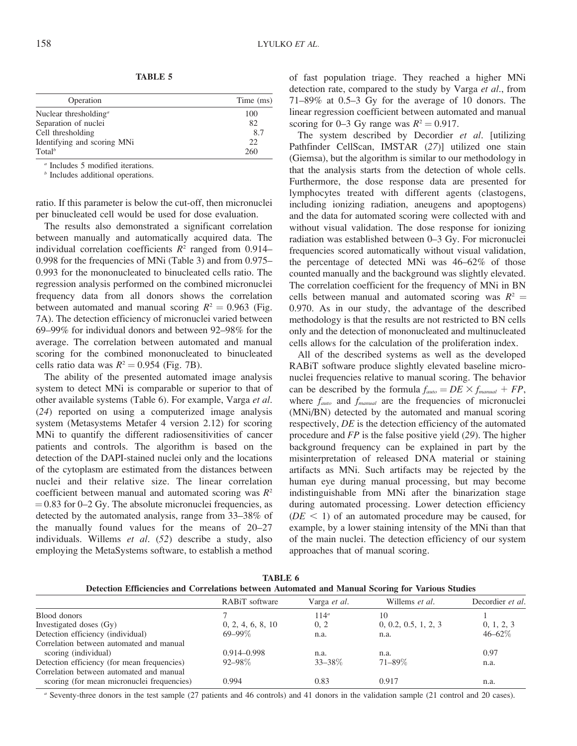| Operation                                      | Time (ms) |
|------------------------------------------------|-----------|
| Nuclear thresholding <sup><math>a</math></sup> | 100       |
| Separation of nuclei                           | 82        |
| Cell thresholding                              | 8.7       |
| Identifying and scoring MNi                    | 22        |
| Total <sup>b</sup>                             | 260       |

TABLE 5

<sup>a</sup> Includes 5 modified iterations.

**b** Includes additional operations.

ratio. If this parameter is below the cut-off, then micronuclei per binucleated cell would be used for dose evaluation.

The results also demonstrated a significant correlation between manually and automatically acquired data. The individual correlation coefficients  $R^2$  ranged from 0.914– 0.998 for the frequencies of MNi (Table 3) and from 0.975– 0.993 for the mononucleated to binucleated cells ratio. The regression analysis performed on the combined micronuclei frequency data from all donors shows the correlation between automated and manual scoring  $R^2 = 0.963$  (Fig. 7A). The detection efficiency of micronuclei varied between 69–99% for individual donors and between 92–98% for the average. The correlation between automated and manual scoring for the combined mononucleated to binucleated cells ratio data was  $R^2 = 0.954$  (Fig. 7B).

The ability of the presented automated image analysis system to detect MNi is comparable or superior to that of other available systems (Table 6). For example, Varga et al. (24) reported on using a computerized image analysis system (Metasystems Metafer 4 version 2.12) for scoring MNi to quantify the different radiosensitivities of cancer patients and controls. The algorithm is based on the detection of the DAPI-stained nuclei only and the locations of the cytoplasm are estimated from the distances between nuclei and their relative size. The linear correlation coefficient between manual and automated scoring was  $R^2$  $= 0.83$  for 0–2 Gy. The absolute micronuclei frequencies, as detected by the automated analysis, range from 33–38% of the manually found values for the means of 20–27 individuals. Willems et al. (52) describe a study, also employing the MetaSystems software, to establish a method of fast population triage. They reached a higher MNi detection rate, compared to the study by Varga et al., from 71–89% at 0.5–3 Gy for the average of 10 donors. The linear regression coefficient between automated and manual scoring for 0–3 Gy range was  $R^2 = 0.917$ .

The system described by Decordier et al. [utilizing Pathfinder CellScan, IMSTAR (27)] utilized one stain (Giemsa), but the algorithm is similar to our methodology in that the analysis starts from the detection of whole cells. Furthermore, the dose response data are presented for lymphocytes treated with different agents (clastogens, including ionizing radiation, aneugens and apoptogens) and the data for automated scoring were collected with and without visual validation. The dose response for ionizing radiation was established between 0–3 Gy. For micronuclei frequencies scored automatically without visual validation, the percentage of detected MNi was 46–62% of those counted manually and the background was slightly elevated. The correlation coefficient for the frequency of MNi in BN cells between manual and automated scoring was  $R^2 =$ 0.970. As in our study, the advantage of the described methodology is that the results are not restricted to BN cells only and the detection of mononucleated and multinucleated cells allows for the calculation of the proliferation index.

All of the described systems as well as the developed RABiT software produce slightly elevated baseline micronuclei frequencies relative to manual scoring. The behavior can be described by the formula  $f_{auto} = DE \times f_{manuel} + FP$ , where  $f_{auto}$  and  $f_{mamual}$  are the frequencies of micronuclei (MNi/BN) detected by the automated and manual scoring respectively, DE is the detection efficiency of the automated procedure and FP is the false positive yield (29). The higher background frequency can be explained in part by the misinterpretation of released DNA material or staining artifacts as MNi. Such artifacts may be rejected by the human eye during manual processing, but may become indistinguishable from MNi after the binarization stage during automated processing. Lower detection efficiency  $(DE < 1)$  of an automated procedure may be caused, for example, by a lower staining intensity of the MNi than that of the main nuclei. The detection efficiency of our system approaches that of manual scoring.

| <b>TABLE 6</b>                                                                                   |  |
|--------------------------------------------------------------------------------------------------|--|
| Detection Efficiencies and Correlations between Automated and Manual Scoring for Various Studies |  |

|                                             | RAB <sub>i</sub> T software | Varga et al. | Willems et al.       | Decordier et al. |
|---------------------------------------------|-----------------------------|--------------|----------------------|------------------|
| Blood donors                                |                             | $114^a$      | 10                   |                  |
| Investigated doses (Gy)                     | 0, 2, 4, 6, 8, 10           | 0, 2         | 0, 0.2, 0.5, 1, 2, 3 | 0, 1, 2, 3       |
| Detection efficiency (individual)           | $69 - 99\%$                 | n.a.         | n.a.                 | $46 - 62\%$      |
| Correlation between automated and manual    |                             |              |                      |                  |
| scoring (individual)                        | $0.914 - 0.998$             | n.a.         | n.a.                 | 0.97             |
| Detection efficiency (for mean frequencies) | $92 - 98\%$                 | $33 - 38\%$  | $71 - 89\%$          | n.a.             |
| Correlation between automated and manual    |                             |              |                      |                  |
| scoring (for mean micronuclei frequencies)  | 0.994                       | 0.83         | 0.917                | n.a.             |
|                                             |                             |              |                      |                  |

<sup>a</sup> Seventy-three donors in the test sample (27 patients and 46 controls) and 41 donors in the validation sample (21 control and 20 cases).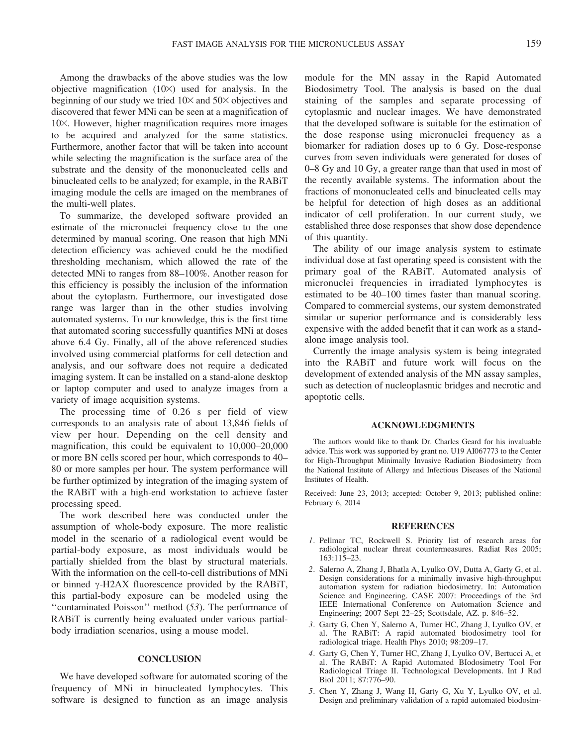Among the drawbacks of the above studies was the low objective magnification  $(10\times)$  used for analysis. In the beginning of our study we tried  $10\times$  and  $50\times$  objectives and discovered that fewer MNi can be seen at a magnification of 10 $\times$ . However, higher magnification requires more images to be acquired and analyzed for the same statistics. Furthermore, another factor that will be taken into account while selecting the magnification is the surface area of the substrate and the density of the mononucleated cells and binucleated cells to be analyzed; for example, in the RABiT imaging module the cells are imaged on the membranes of the multi-well plates.

To summarize, the developed software provided an estimate of the micronuclei frequency close to the one determined by manual scoring. One reason that high MNi detection efficiency was achieved could be the modified thresholding mechanism, which allowed the rate of the detected MNi to ranges from 88–100%. Another reason for this efficiency is possibly the inclusion of the information about the cytoplasm. Furthermore, our investigated dose range was larger than in the other studies involving automated systems. To our knowledge, this is the first time that automated scoring successfully quantifies MNi at doses above 6.4 Gy. Finally, all of the above referenced studies involved using commercial platforms for cell detection and analysis, and our software does not require a dedicated imaging system. It can be installed on a stand-alone desktop or laptop computer and used to analyze images from a variety of image acquisition systems.

The processing time of 0.26 s per field of view corresponds to an analysis rate of about 13,846 fields of view per hour. Depending on the cell density and magnification, this could be equivalent to 10,000–20,000 or more BN cells scored per hour, which corresponds to 40– 80 or more samples per hour. The system performance will be further optimized by integration of the imaging system of the RABiT with a high-end workstation to achieve faster processing speed.

The work described here was conducted under the assumption of whole-body exposure. The more realistic model in the scenario of a radiological event would be partial-body exposure, as most individuals would be partially shielded from the blast by structural materials. With the information on the cell-to-cell distributions of MNi or binned  $\gamma$ -H2AX fluorescence provided by the RABiT, this partial-body exposure can be modeled using the ''contaminated Poisson'' method (53). The performance of RABiT is currently being evaluated under various partialbody irradiation scenarios, using a mouse model.

## **CONCLUSION**

We have developed software for automated scoring of the frequency of MNi in binucleated lymphocytes. This software is designed to function as an image analysis module for the MN assay in the Rapid Automated Biodosimetry Tool. The analysis is based on the dual staining of the samples and separate processing of cytoplasmic and nuclear images. We have demonstrated that the developed software is suitable for the estimation of the dose response using micronuclei frequency as a biomarker for radiation doses up to 6 Gy. Dose-response curves from seven individuals were generated for doses of 0–8 Gy and 10 Gy, a greater range than that used in most of the recently available systems. The information about the fractions of mononucleated cells and binucleated cells may be helpful for detection of high doses as an additional indicator of cell proliferation. In our current study, we established three dose responses that show dose dependence of this quantity.

The ability of our image analysis system to estimate individual dose at fast operating speed is consistent with the primary goal of the RABiT. Automated analysis of micronuclei frequencies in irradiated lymphocytes is estimated to be 40–100 times faster than manual scoring. Compared to commercial systems, our system demonstrated similar or superior performance and is considerably less expensive with the added benefit that it can work as a standalone image analysis tool.

Currently the image analysis system is being integrated into the RABiT and future work will focus on the development of extended analysis of the MN assay samples, such as detection of nucleoplasmic bridges and necrotic and apoptotic cells.

## ACKNOWLEDGMENTS

The authors would like to thank Dr. Charles Geard for his invaluable advice. This work was supported by grant no. U19 AI067773 to the Center for High-Throughput Minimally Invasive Radiation Biodosimetry from the National Institute of Allergy and Infectious Diseases of the National Institutes of Health.

Received: June 23, 2013; accepted: October 9, 2013; published online: February 6, 2014

#### REFERENCES

- 1. Pellmar TC, Rockwell S. Priority list of research areas for radiological nuclear threat countermeasures. Radiat Res 2005; 163:115–23.
- 2. Salerno A, Zhang J, Bhatla A, Lyulko OV, Dutta A, Garty G, et al. Design considerations for a minimally invasive high-throughput automation system for radiation biodosimetry. In: Automation Science and Engineering. CASE 2007: Proceedings of the 3rd IEEE International Conference on Automation Science and Engineering; 2007 Sept 22–25; Scottsdale, AZ. p. 846–52.
- 3. Garty G, Chen Y, Salerno A, Turner HC, Zhang J, Lyulko OV, et al. The RABiT: A rapid automated biodosimetry tool for radiological triage. Health Phys 2010; 98:209–17.
- 4. Garty G, Chen Y, Turner HC, Zhang J, Lyulko OV, Bertucci A, et al. The RABiT: A Rapid Automated BIodosimetry Tool For Radiological Triage II. Technological Developments. Int J Rad Biol 2011; 87:776–90.
- 5. Chen Y, Zhang J, Wang H, Garty G, Xu Y, Lyulko OV, et al. Design and preliminary validation of a rapid automated biodosim-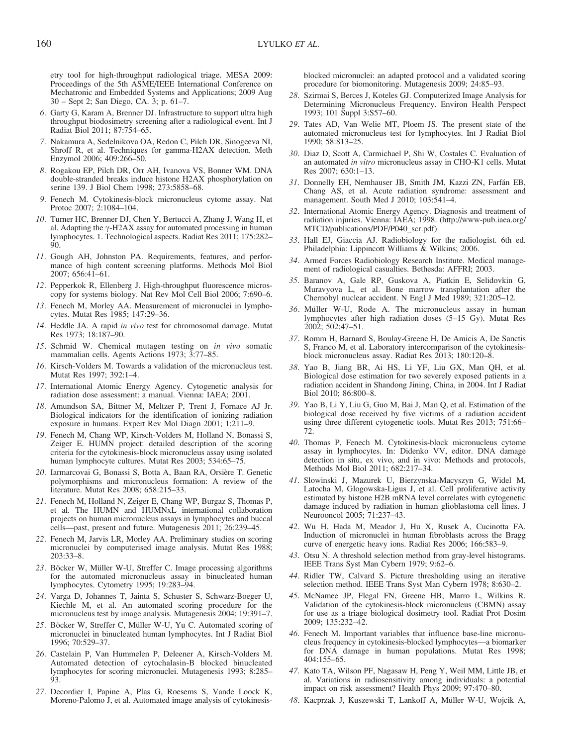etry tool for high-throughput radiological triage. MESA 2009: Proceedings of the 5th ASME/IEEE International Conference on Mechatronic and Embedded Systems and Applications; 2009 Aug 30 – Sept 2; San Diego, CA. 3; p. 61–7.

- 6. Garty G, Karam A, Brenner DJ. Infrastructure to support ultra high throughput biodosimetry screening after a radiological event. Int J Radiat Biol 2011; 87:754–65.
- 7. Nakamura A, Sedelnikova OA, Redon C, Pilch DR, Sinogeeva NI, Shroff R, et al. Techniques for gamma-H2AX detection. Meth Enzymol 2006; 409:266–50.
- 8. Rogakou EP, Pilch DR, Orr AH, Ivanova VS, Bonner WM. DNA double-stranded breaks induce histone H2AX phosphorylation on serine 139. J Biol Chem 1998; 273:5858–68.
- 9. Fenech M. Cytokinesis-block micronucleus cytome assay. Nat Protoc 2007; 2:1084–104.
- 10. Turner HC, Brenner DJ, Chen Y, Bertucci A, Zhang J, Wang H, et al. Adapting the  $\gamma$ -H2AX assay for automated processing in human lymphocytes. 1. Technological aspects. Radiat Res 2011; 175:282– 90.
- 11. Gough AH, Johnston PA. Requirements, features, and performance of high content screening platforms. Methods Mol Biol 2007; 656:41–61.
- 12. Pepperkok R, Ellenberg J. High-throughput fluorescence microscopy for systems biology. Nat Rev Mol Cell Biol 2006; 7:690–6.
- 13. Fenech M, Morley AA. Measurement of micronuclei in lymphocytes. Mutat Res 1985; 147:29–36.
- 14. Heddle JA. A rapid in vivo test for chromosomal damage. Mutat Res 1973; 18:187–90.
- 15. Schmid W. Chemical mutagen testing on in vivo somatic mammalian cells. Agents Actions 1973; 3:77–85.
- 16. Kirsch-Volders M. Towards a validation of the micronucleus test. Mutat Res 1997; 392:1–4.
- 17. International Atomic Energy Agency. Cytogenetic analysis for radiation dose assessment: a manual. Vienna: IAEA; 2001.
- 18. Amundson SA, Bittner M, Meltzer P, Trent J, Fornace AJ Jr. Biological indicators for the identification of ionizing radiation exposure in humans. Expert Rev Mol Diagn 2001; 1:211–9.
- 19. Fenech M, Chang WP, Kirsch-Volders M, Holland N, Bonassi S, Zeiger E. HUMN project: detailed description of the scoring criteria for the cytokinesis-block micronucleus assay using isolated human lymphocyte cultures. Mutat Res 2003; 534:65–75.
- 20. Iarmarcovai G, Bonassi S, Botta A, Baan RA, Orsière T. Genetic polymorphisms and micronucleus formation: A review of the literature. Mutat Res 2008; 658:215–33.
- 21. Fenech M, Holland N, Zeiger E, Chang WP, Burgaz S, Thomas P, et al. The HUMN and HUMNxL international collaboration projects on human micronucleus assays in lymphocytes and buccal cells—past, present and future. Mutagenesis 2011; 26:239–45.
- 22. Fenech M, Jarvis LR, Morley AA. Preliminary studies on scoring micronuclei by computerised image analysis. Mutat Res 1988; 203:33–8.
- 23. Böcker W, Müller W-U, Streffer C. Image processing algorithms for the automated micronucleus assay in binucleated human lymphocytes. Cytometry 1995; 19:283–94.
- 24. Varga D, Johannes T, Jainta S, Schuster S, Schwarz-Boeger U, Kiechle M, et al. An automated scoring procedure for the micronucleus test by image analysis. Mutagenesis 2004; 19:391–7.
- 25. Böcker W, Streffer C, Müller W-U, Yu C. Automated scoring of micronuclei in binucleated human lymphocytes. Int J Radiat Biol 1996; 70:529–37.
- 26. Castelain P, Van Hummelen P, Deleener A, Kirsch-Volders M. Automated detection of cytochalasin-B blocked binucleated lymphocytes for scoring micronuclei. Mutagenesis 1993; 8:285– 93.
- 27. Decordier I, Papine A, Plas G, Roesems S, Vande Loock K, Moreno-Palomo J, et al. Automated image analysis of cytokinesis-

blocked micronuclei: an adapted protocol and a validated scoring procedure for biomonitoring. Mutagenesis 2009; 24:85–93.

- 28. Szirmai S, Berces J, Koteles GJ. Computerized Image Analysis for Determining Micronucleus Frequency. Environ Health Perspect 1993; 101 Suppl 3:S57–60.
- 29. Tates AD, Van Welie MT, Ploem JS. The present state of the automated micronucleus test for lymphocytes. Int J Radiat Biol 1990; 58:813–25.
- 30. Diaz D, Scott A, Carmichael P, Shi W, Costales C. Evaluation of an automated in vitro micronucleus assay in CHO-K1 cells. Mutat Res 2007; 630:1–13.
- 31. Donnelly EH, Nemhauser JB, Smith JM, Kazzi ZN, Farfán EB, Chang AS, et al. Acute radiation syndrome: assessment and management. South Med J 2010; 103:541–4.
- 32. International Atomic Energy Agency. Diagnosis and treatment of radiation injuries. Vienna: IAEA; 1998. (http://www-pub.iaea.org/ MTCD/publications/PDF/P040\_scr.pdf)
- 33. Hall EJ, Giaccia AJ. Radiobiology for the radiologist. 6th ed. Philadelphia: Lippincott Williams & Wilkins; 2006.
- 34. Armed Forces Radiobiology Research Institute. Medical management of radiological casualties. Bethesda: AFFRI; 2003.
- 35. Baranov A, Gale RP, Guskova A, Piatkin E, Selidovkin G, Muravyova L, et al. Bone marrow transplantation after the Chernobyl nuclear accident. N Engl J Med 1989; 321:205–12.
- 36. Müller W-U, Rode A. The micronucleus assay in human lymphocytes after high radiation doses (5–15 Gy). Mutat Res 2002; 502:47–51.
- 37. Romm H, Barnard S, Boulay-Greene H, De Amicis A, De Sanctis S, Franco M, et al. Laboratory intercomparison of the cytokinesisblock micronucleus assay. Radiat Res 2013; 180:120–8.
- 38. Yao B, Jiang BR, Ai HS, Li YF, Liu GX, Man QH, et al. Biological dose estimation for two severely exposed patients in a radiation accident in Shandong Jining, China, in 2004. Int J Radiat Biol 2010; 86:800–8.
- 39. Yao B, Li Y, Liu G, Guo M, Bai J, Man Q, et al. Estimation of the biological dose received by five victims of a radiation accident using three different cytogenetic tools. Mutat Res 2013; 751:66– 72.
- 40. Thomas P, Fenech M. Cytokinesis-block micronucleus cytome assay in lymphocytes. In: Didenko VV, editor. DNA damage detection in situ, ex vivo, and in vivo: Methods and protocols, Methods Mol Biol 2011; 682:217–34.
- 41. Slowinski J, Mazurek U, Bierzynska-Macyszyn G, Widel M, Latocha M, Glogowska-Ligus J, et al. Cell proliferative activity estimated by histone H2B mRNA level correlates with cytogenetic damage induced by radiation in human glioblastoma cell lines. J Neurooncol 2005; 71:237–43.
- 42. Wu H, Hada M, Meador J, Hu X, Rusek A, Cucinotta FA. Induction of micronuclei in human fibroblasts across the Bragg curve of energetic heavy ions. Radiat Res 2006; 166:583–9.
- 43. Otsu N. A threshold selection method from gray-level histograms. IEEE Trans Syst Man Cybern 1979; 9:62–6.
- 44. Ridler TW, Calvard S. Picture thresholding using an iterative selection method. IEEE Trans Syst Man Cybern 1978; 8:630–2.
- 45. McNamee JP, Flegal FN, Greene HB, Marro L, Wilkins R. Validation of the cytokinesis-block micronucleus (CBMN) assay for use as a triage biological dosimetry tool. Radiat Prot Dosim 2009; 135:232–42.
- 46. Fenech M. Important variables that influence base-line micronucleus frequency in cytokinesis-blocked lymphocytes—a biomarker for DNA damage in human populations. Mutat Res 1998; 404:155–65.
- 47. Kato TA, Wilson PF, Nagasaw H, Peng Y, Weil MM, Little JB, et al. Variations in radiosensitivity among individuals: a potential impact on risk assessment? Health Phys 2009; 97:470–80.
- 48. Kacprzak J, Kuszewski T, Lankoff A, Müller W-U, Wojcik A,